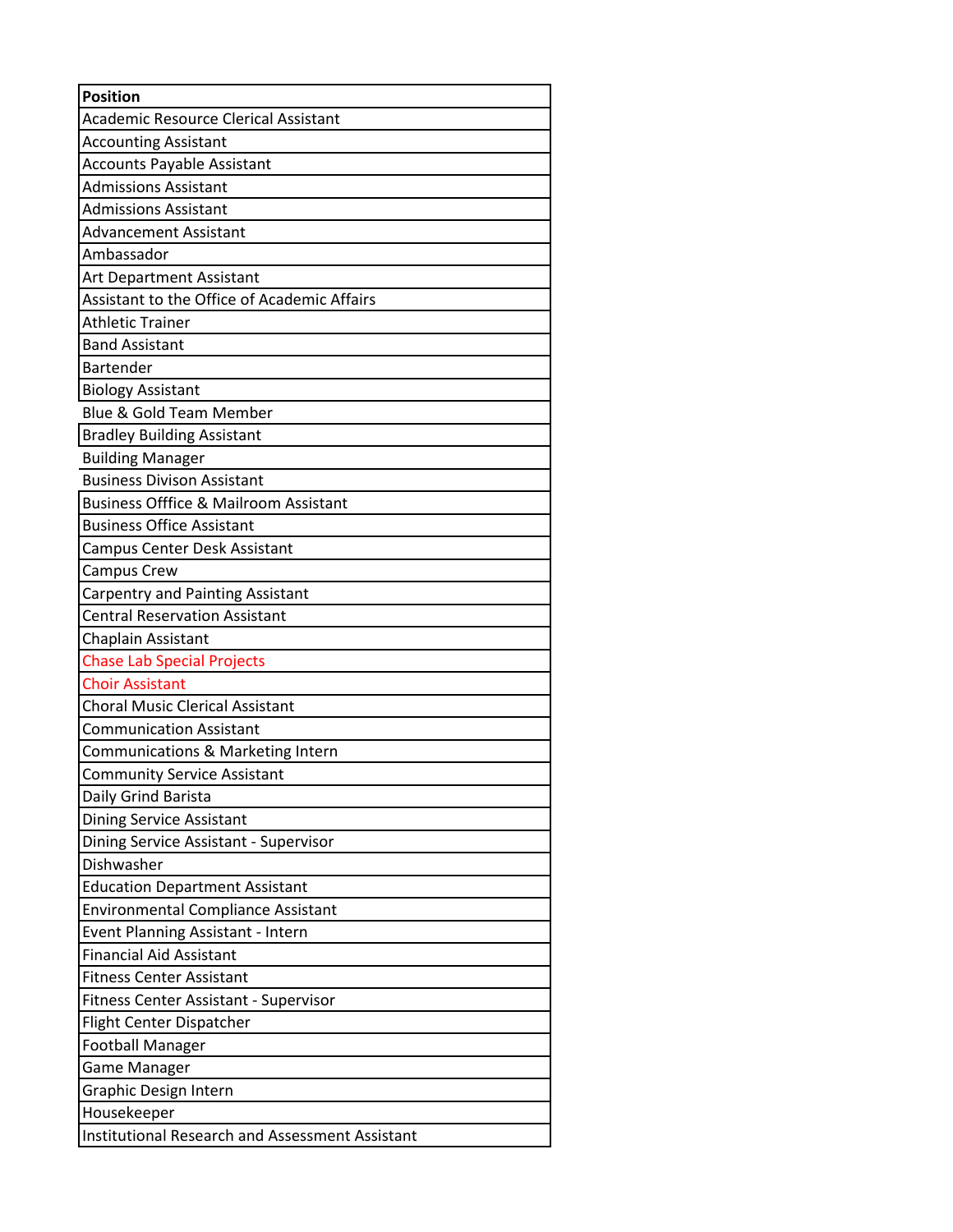| <b>Position</b>                                  |
|--------------------------------------------------|
| <b>Academic Resource Clerical Assistant</b>      |
| <b>Accounting Assistant</b>                      |
| <b>Accounts Payable Assistant</b>                |
| <b>Admissions Assistant</b>                      |
| <b>Admissions Assistant</b>                      |
| Advancement Assistant                            |
| Ambassador                                       |
| Art Department Assistant                         |
| Assistant to the Office of Academic Affairs      |
| <b>Athletic Trainer</b>                          |
| <b>Band Assistant</b>                            |
| <b>Bartender</b>                                 |
| <b>Biology Assistant</b>                         |
| <b>Blue &amp; Gold Team Member</b>               |
| <b>Bradley Building Assistant</b>                |
| <b>Building Manager</b>                          |
| <b>Business Divison Assistant</b>                |
| <b>Business Offfice &amp; Mailroom Assistant</b> |
| <b>Business Office Assistant</b>                 |
| Campus Center Desk Assistant                     |
| <b>Campus Crew</b>                               |
| Carpentry and Painting Assistant                 |
| <b>Central Reservation Assistant</b>             |
| Chaplain Assistant                               |
| <b>Chase Lab Special Projects</b>                |
| <b>Choir Assistant</b>                           |
| <b>Choral Music Clerical Assistant</b>           |
| <b>Communication Assistant</b>                   |
| Communications & Marketing Intern                |
| <b>Community Service Assistant</b>               |
| Daily Grind Barista                              |
| Dining Service Assistant                         |
| Dining Service Assistant - Supervisor            |
| Dishwasher                                       |
| <b>Education Department Assistant</b>            |
| <b>Environmental Compliance Assistant</b>        |
| Event Planning Assistant - Intern                |
| <b>Financial Aid Assistant</b>                   |
| <b>Fitness Center Assistant</b>                  |
| <b>Fitness Center Assistant - Supervisor</b>     |
| Flight Center Dispatcher                         |
| Football Manager                                 |
| Game Manager                                     |
| Graphic Design Intern                            |
| Housekeeper                                      |
| Institutional Research and Assessment Assistant  |